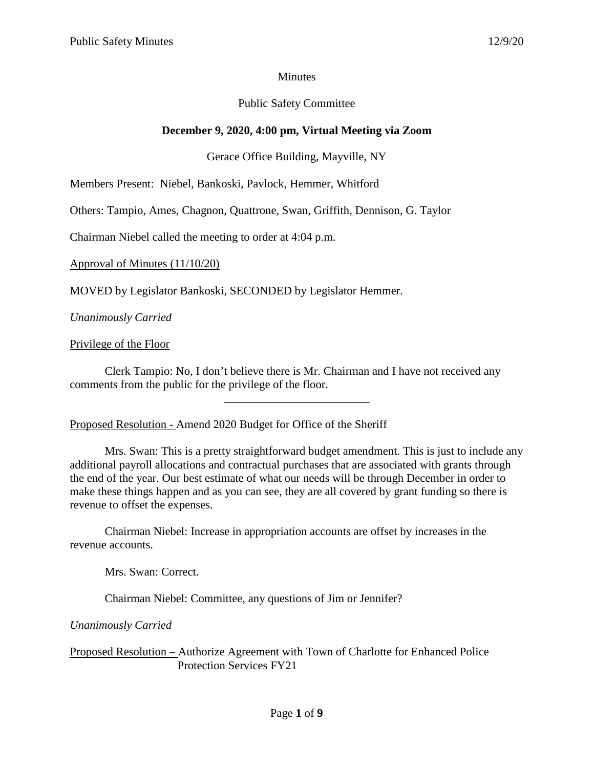### **Minutes**

### Public Safety Committee

# **December 9, 2020, 4:00 pm, Virtual Meeting via Zoom**

### Gerace Office Building, Mayville, NY

Members Present: Niebel, Bankoski, Pavlock, Hemmer, Whitford

Others: Tampio, Ames, Chagnon, Quattrone, Swan, Griffith, Dennison, G. Taylor

Chairman Niebel called the meeting to order at 4:04 p.m.

Approval of Minutes (11/10/20)

MOVED by Legislator Bankoski, SECONDED by Legislator Hemmer.

*Unanimously Carried*

Privilege of the Floor

Clerk Tampio: No, I don't believe there is Mr. Chairman and I have not received any comments from the public for the privilege of the floor.

\_\_\_\_\_\_\_\_\_\_\_\_\_\_\_\_\_\_\_\_\_\_\_\_\_

Proposed Resolution - Amend 2020 Budget for Office of the Sheriff

Mrs. Swan: This is a pretty straightforward budget amendment. This is just to include any additional payroll allocations and contractual purchases that are associated with grants through the end of the year. Our best estimate of what our needs will be through December in order to make these things happen and as you can see, they are all covered by grant funding so there is revenue to offset the expenses.

Chairman Niebel: Increase in appropriation accounts are offset by increases in the revenue accounts.

Mrs. Swan: Correct.

Chairman Niebel: Committee, any questions of Jim or Jennifer?

*Unanimously Carried*

Proposed Resolution – Authorize Agreement with Town of Charlotte for Enhanced Police Protection Services FY21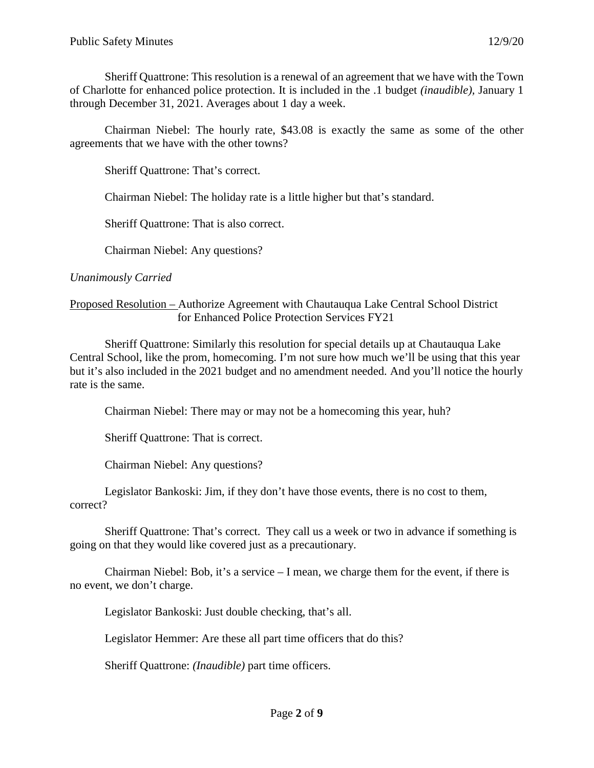Sheriff Quattrone: This resolution is a renewal of an agreement that we have with the Town of Charlotte for enhanced police protection. It is included in the .1 budget *(inaudible),* January 1 through December 31, 2021. Averages about 1 day a week.

Chairman Niebel: The hourly rate, \$43.08 is exactly the same as some of the other agreements that we have with the other towns?

Sheriff Quattrone: That's correct.

Chairman Niebel: The holiday rate is a little higher but that's standard.

Sheriff Quattrone: That is also correct.

Chairman Niebel: Any questions?

*Unanimously Carried*

### Proposed Resolution – Authorize Agreement with Chautauqua Lake Central School District for Enhanced Police Protection Services FY21

Sheriff Quattrone: Similarly this resolution for special details up at Chautauqua Lake Central School, like the prom, homecoming. I'm not sure how much we'll be using that this year but it's also included in the 2021 budget and no amendment needed. And you'll notice the hourly rate is the same.

Chairman Niebel: There may or may not be a homecoming this year, huh?

Sheriff Quattrone: That is correct.

Chairman Niebel: Any questions?

Legislator Bankoski: Jim, if they don't have those events, there is no cost to them, correct?

Sheriff Quattrone: That's correct. They call us a week or two in advance if something is going on that they would like covered just as a precautionary.

Chairman Niebel: Bob, it's a service  $-I$  mean, we charge them for the event, if there is no event, we don't charge.

Legislator Bankoski: Just double checking, that's all.

Legislator Hemmer: Are these all part time officers that do this?

Sheriff Quattrone: *(Inaudible)* part time officers.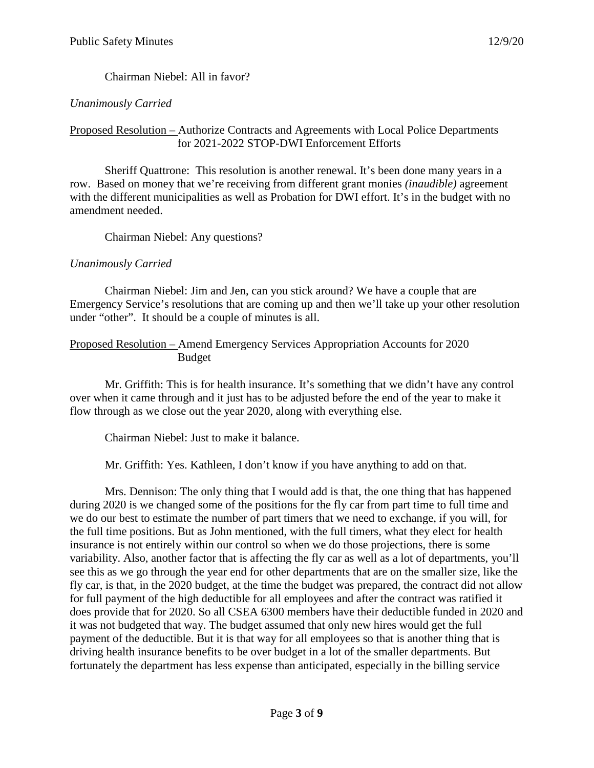Chairman Niebel: All in favor?

## *Unanimously Carried*

## Proposed Resolution – Authorize Contracts and Agreements with Local Police Departments for 2021-2022 STOP-DWI Enforcement Efforts

Sheriff Quattrone: This resolution is another renewal. It's been done many years in a row. Based on money that we're receiving from different grant monies *(inaudible)* agreement with the different municipalities as well as Probation for DWI effort. It's in the budget with no amendment needed.

Chairman Niebel: Any questions?

## *Unanimously Carried*

Chairman Niebel: Jim and Jen, can you stick around? We have a couple that are Emergency Service's resolutions that are coming up and then we'll take up your other resolution under "other". It should be a couple of minutes is all.

#### Proposed Resolution – Amend Emergency Services Appropriation Accounts for 2020 Budget

Mr. Griffith: This is for health insurance. It's something that we didn't have any control over when it came through and it just has to be adjusted before the end of the year to make it flow through as we close out the year 2020, along with everything else.

Chairman Niebel: Just to make it balance.

Mr. Griffith: Yes. Kathleen, I don't know if you have anything to add on that.

Mrs. Dennison: The only thing that I would add is that, the one thing that has happened during 2020 is we changed some of the positions for the fly car from part time to full time and we do our best to estimate the number of part timers that we need to exchange, if you will, for the full time positions. But as John mentioned, with the full timers, what they elect for health insurance is not entirely within our control so when we do those projections, there is some variability. Also, another factor that is affecting the fly car as well as a lot of departments, you'll see this as we go through the year end for other departments that are on the smaller size, like the fly car, is that, in the 2020 budget, at the time the budget was prepared, the contract did not allow for full payment of the high deductible for all employees and after the contract was ratified it does provide that for 2020. So all CSEA 6300 members have their deductible funded in 2020 and it was not budgeted that way. The budget assumed that only new hires would get the full payment of the deductible. But it is that way for all employees so that is another thing that is driving health insurance benefits to be over budget in a lot of the smaller departments. But fortunately the department has less expense than anticipated, especially in the billing service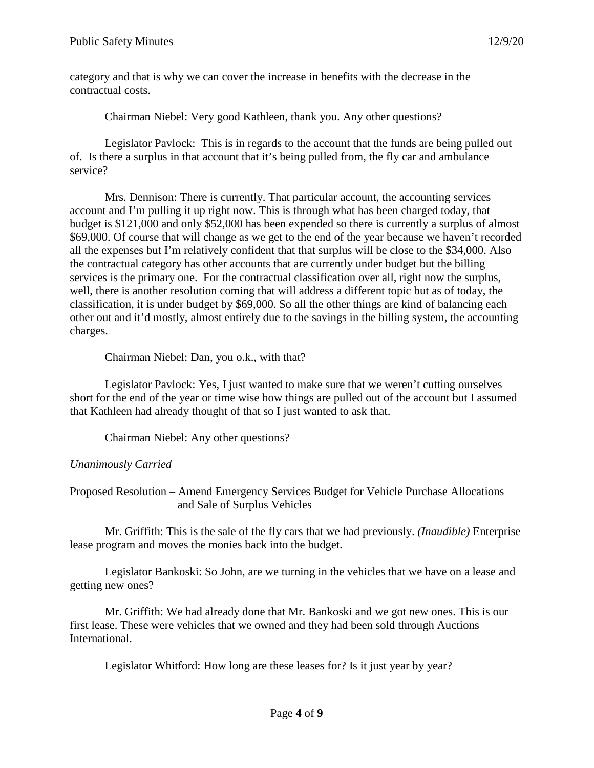category and that is why we can cover the increase in benefits with the decrease in the contractual costs.

Chairman Niebel: Very good Kathleen, thank you. Any other questions?

Legislator Pavlock: This is in regards to the account that the funds are being pulled out of. Is there a surplus in that account that it's being pulled from, the fly car and ambulance service?

Mrs. Dennison: There is currently. That particular account, the accounting services account and I'm pulling it up right now. This is through what has been charged today, that budget is \$121,000 and only \$52,000 has been expended so there is currently a surplus of almost \$69,000. Of course that will change as we get to the end of the year because we haven't recorded all the expenses but I'm relatively confident that that surplus will be close to the \$34,000. Also the contractual category has other accounts that are currently under budget but the billing services is the primary one. For the contractual classification over all, right now the surplus, well, there is another resolution coming that will address a different topic but as of today, the classification, it is under budget by \$69,000. So all the other things are kind of balancing each other out and it'd mostly, almost entirely due to the savings in the billing system, the accounting charges.

Chairman Niebel: Dan, you o.k., with that?

Legislator Pavlock: Yes, I just wanted to make sure that we weren't cutting ourselves short for the end of the year or time wise how things are pulled out of the account but I assumed that Kathleen had already thought of that so I just wanted to ask that.

Chairman Niebel: Any other questions?

### *Unanimously Carried*

Proposed Resolution – Amend Emergency Services Budget for Vehicle Purchase Allocations and Sale of Surplus Vehicles

Mr. Griffith: This is the sale of the fly cars that we had previously. *(Inaudible)* Enterprise lease program and moves the monies back into the budget.

Legislator Bankoski: So John, are we turning in the vehicles that we have on a lease and getting new ones?

Mr. Griffith: We had already done that Mr. Bankoski and we got new ones. This is our first lease. These were vehicles that we owned and they had been sold through Auctions International.

Legislator Whitford: How long are these leases for? Is it just year by year?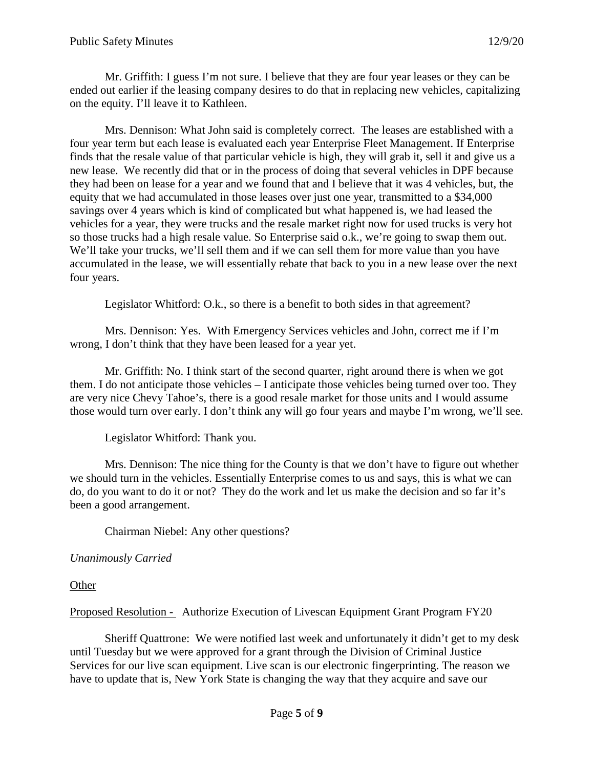Mr. Griffith: I guess I'm not sure. I believe that they are four year leases or they can be ended out earlier if the leasing company desires to do that in replacing new vehicles, capitalizing on the equity. I'll leave it to Kathleen.

Mrs. Dennison: What John said is completely correct. The leases are established with a four year term but each lease is evaluated each year Enterprise Fleet Management. If Enterprise finds that the resale value of that particular vehicle is high, they will grab it, sell it and give us a new lease. We recently did that or in the process of doing that several vehicles in DPF because they had been on lease for a year and we found that and I believe that it was 4 vehicles, but, the equity that we had accumulated in those leases over just one year, transmitted to a \$34,000 savings over 4 years which is kind of complicated but what happened is, we had leased the vehicles for a year, they were trucks and the resale market right now for used trucks is very hot so those trucks had a high resale value. So Enterprise said o.k., we're going to swap them out. We'll take your trucks, we'll sell them and if we can sell them for more value than you have accumulated in the lease, we will essentially rebate that back to you in a new lease over the next four years.

Legislator Whitford: O.k., so there is a benefit to both sides in that agreement?

Mrs. Dennison: Yes. With Emergency Services vehicles and John, correct me if I'm wrong, I don't think that they have been leased for a year yet.

Mr. Griffith: No. I think start of the second quarter, right around there is when we got them. I do not anticipate those vehicles – I anticipate those vehicles being turned over too. They are very nice Chevy Tahoe's, there is a good resale market for those units and I would assume those would turn over early. I don't think any will go four years and maybe I'm wrong, we'll see.

Legislator Whitford: Thank you.

Mrs. Dennison: The nice thing for the County is that we don't have to figure out whether we should turn in the vehicles. Essentially Enterprise comes to us and says, this is what we can do, do you want to do it or not? They do the work and let us make the decision and so far it's been a good arrangement.

Chairman Niebel: Any other questions?

### *Unanimously Carried*

**Other** 

Proposed Resolution - Authorize Execution of Livescan Equipment Grant Program FY20

Sheriff Quattrone: We were notified last week and unfortunately it didn't get to my desk until Tuesday but we were approved for a grant through the Division of Criminal Justice Services for our live scan equipment. Live scan is our electronic fingerprinting. The reason we have to update that is, New York State is changing the way that they acquire and save our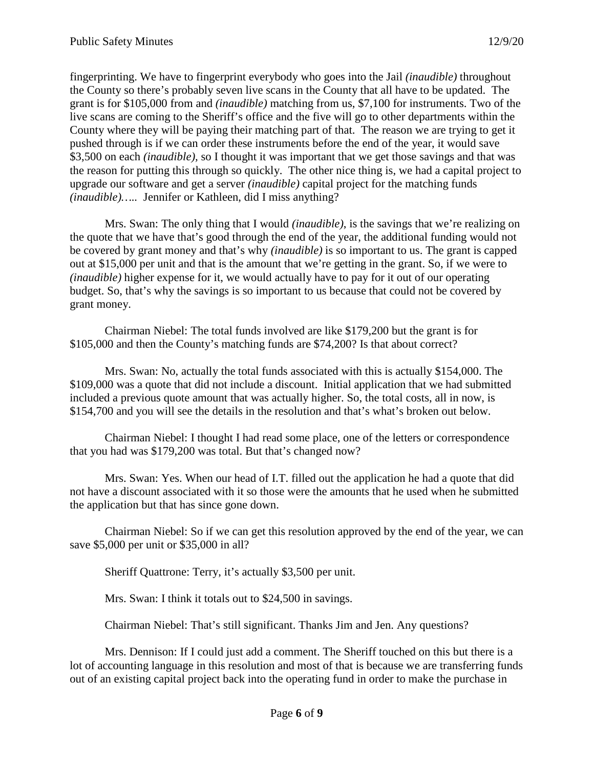fingerprinting. We have to fingerprint everybody who goes into the Jail *(inaudible)* throughout the County so there's probably seven live scans in the County that all have to be updated. The grant is for \$105,000 from and *(inaudible)* matching from us, \$7,100 for instruments. Two of the live scans are coming to the Sheriff's office and the five will go to other departments within the County where they will be paying their matching part of that. The reason we are trying to get it pushed through is if we can order these instruments before the end of the year, it would save \$3,500 on each *(inaudible),* so I thought it was important that we get those savings and that was the reason for putting this through so quickly. The other nice thing is, we had a capital project to upgrade our software and get a server *(inaudible)* capital project for the matching funds *(inaudible)…..* Jennifer or Kathleen, did I miss anything?

Mrs. Swan: The only thing that I would *(inaudible)*, is the savings that we're realizing on the quote that we have that's good through the end of the year, the additional funding would not be covered by grant money and that's why *(inaudible)* is so important to us. The grant is capped out at \$15,000 per unit and that is the amount that we're getting in the grant. So, if we were to *(inaudible)* higher expense for it, we would actually have to pay for it out of our operating budget. So, that's why the savings is so important to us because that could not be covered by grant money.

Chairman Niebel: The total funds involved are like \$179,200 but the grant is for \$105,000 and then the County's matching funds are \$74,200? Is that about correct?

Mrs. Swan: No, actually the total funds associated with this is actually \$154,000. The \$109,000 was a quote that did not include a discount. Initial application that we had submitted included a previous quote amount that was actually higher. So, the total costs, all in now, is \$154,700 and you will see the details in the resolution and that's what's broken out below.

Chairman Niebel: I thought I had read some place, one of the letters or correspondence that you had was \$179,200 was total. But that's changed now?

Mrs. Swan: Yes. When our head of I.T. filled out the application he had a quote that did not have a discount associated with it so those were the amounts that he used when he submitted the application but that has since gone down.

Chairman Niebel: So if we can get this resolution approved by the end of the year, we can save \$5,000 per unit or \$35,000 in all?

Sheriff Quattrone: Terry, it's actually \$3,500 per unit.

Mrs. Swan: I think it totals out to \$24,500 in savings.

Chairman Niebel: That's still significant. Thanks Jim and Jen. Any questions?

Mrs. Dennison: If I could just add a comment. The Sheriff touched on this but there is a lot of accounting language in this resolution and most of that is because we are transferring funds out of an existing capital project back into the operating fund in order to make the purchase in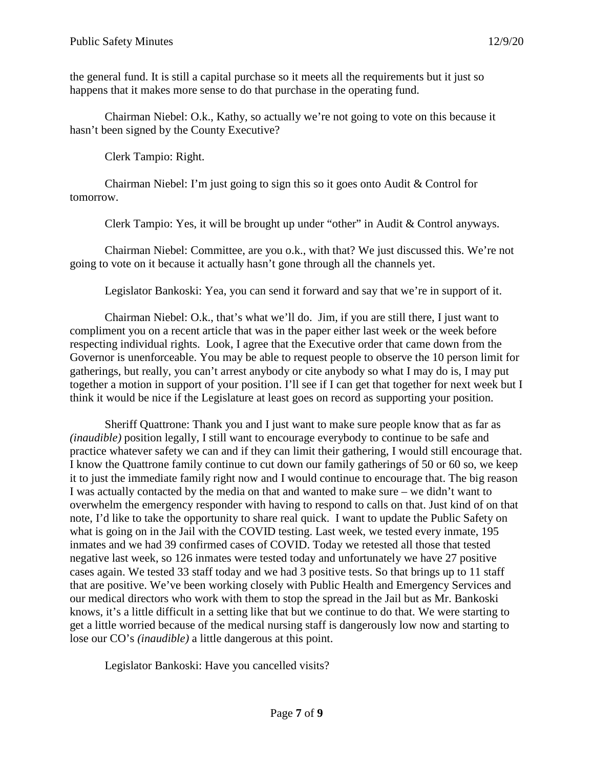the general fund. It is still a capital purchase so it meets all the requirements but it just so happens that it makes more sense to do that purchase in the operating fund.

Chairman Niebel: O.k., Kathy, so actually we're not going to vote on this because it hasn't been signed by the County Executive?

Clerk Tampio: Right.

Chairman Niebel: I'm just going to sign this so it goes onto Audit & Control for tomorrow.

Clerk Tampio: Yes, it will be brought up under "other" in Audit & Control anyways.

Chairman Niebel: Committee, are you o.k., with that? We just discussed this. We're not going to vote on it because it actually hasn't gone through all the channels yet.

Legislator Bankoski: Yea, you can send it forward and say that we're in support of it.

Chairman Niebel: O.k., that's what we'll do. Jim, if you are still there, I just want to compliment you on a recent article that was in the paper either last week or the week before respecting individual rights. Look, I agree that the Executive order that came down from the Governor is unenforceable. You may be able to request people to observe the 10 person limit for gatherings, but really, you can't arrest anybody or cite anybody so what I may do is, I may put together a motion in support of your position. I'll see if I can get that together for next week but I think it would be nice if the Legislature at least goes on record as supporting your position.

Sheriff Quattrone: Thank you and I just want to make sure people know that as far as *(inaudible)* position legally, I still want to encourage everybody to continue to be safe and practice whatever safety we can and if they can limit their gathering, I would still encourage that. I know the Quattrone family continue to cut down our family gatherings of 50 or 60 so, we keep it to just the immediate family right now and I would continue to encourage that. The big reason I was actually contacted by the media on that and wanted to make sure – we didn't want to overwhelm the emergency responder with having to respond to calls on that. Just kind of on that note, I'd like to take the opportunity to share real quick. I want to update the Public Safety on what is going on in the Jail with the COVID testing. Last week, we tested every inmate, 195 inmates and we had 39 confirmed cases of COVID. Today we retested all those that tested negative last week, so 126 inmates were tested today and unfortunately we have 27 positive cases again. We tested 33 staff today and we had 3 positive tests. So that brings up to 11 staff that are positive. We've been working closely with Public Health and Emergency Services and our medical directors who work with them to stop the spread in the Jail but as Mr. Bankoski knows, it's a little difficult in a setting like that but we continue to do that. We were starting to get a little worried because of the medical nursing staff is dangerously low now and starting to lose our CO's *(inaudible)* a little dangerous at this point.

Legislator Bankoski: Have you cancelled visits?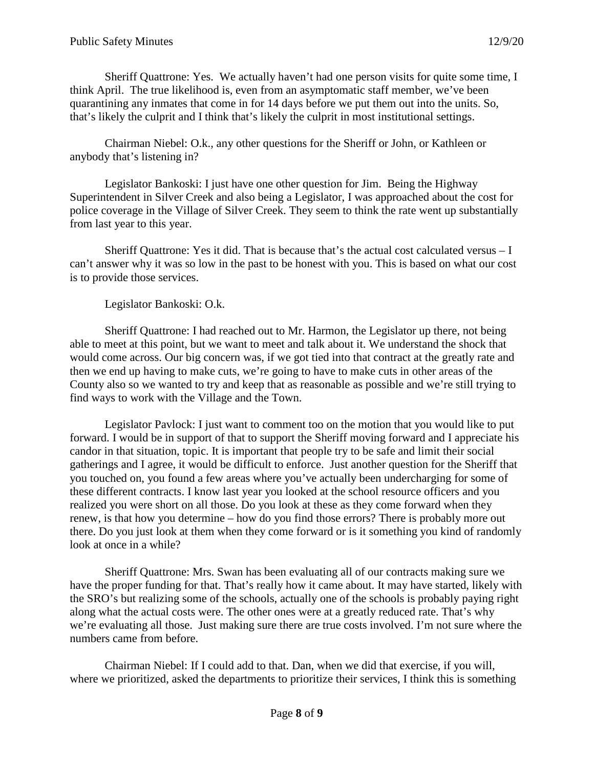Sheriff Quattrone: Yes. We actually haven't had one person visits for quite some time, I think April. The true likelihood is, even from an asymptomatic staff member, we've been quarantining any inmates that come in for 14 days before we put them out into the units. So, that's likely the culprit and I think that's likely the culprit in most institutional settings.

Chairman Niebel: O.k., any other questions for the Sheriff or John, or Kathleen or anybody that's listening in?

Legislator Bankoski: I just have one other question for Jim. Being the Highway Superintendent in Silver Creek and also being a Legislator, I was approached about the cost for police coverage in the Village of Silver Creek. They seem to think the rate went up substantially from last year to this year.

Sheriff Quattrone: Yes it did. That is because that's the actual cost calculated versus – I can't answer why it was so low in the past to be honest with you. This is based on what our cost is to provide those services.

Legislator Bankoski: O.k.

Sheriff Quattrone: I had reached out to Mr. Harmon, the Legislator up there, not being able to meet at this point, but we want to meet and talk about it. We understand the shock that would come across. Our big concern was, if we got tied into that contract at the greatly rate and then we end up having to make cuts, we're going to have to make cuts in other areas of the County also so we wanted to try and keep that as reasonable as possible and we're still trying to find ways to work with the Village and the Town.

Legislator Pavlock: I just want to comment too on the motion that you would like to put forward. I would be in support of that to support the Sheriff moving forward and I appreciate his candor in that situation, topic. It is important that people try to be safe and limit their social gatherings and I agree, it would be difficult to enforce. Just another question for the Sheriff that you touched on, you found a few areas where you've actually been undercharging for some of these different contracts. I know last year you looked at the school resource officers and you realized you were short on all those. Do you look at these as they come forward when they renew, is that how you determine – how do you find those errors? There is probably more out there. Do you just look at them when they come forward or is it something you kind of randomly look at once in a while?

Sheriff Quattrone: Mrs. Swan has been evaluating all of our contracts making sure we have the proper funding for that. That's really how it came about. It may have started, likely with the SRO's but realizing some of the schools, actually one of the schools is probably paying right along what the actual costs were. The other ones were at a greatly reduced rate. That's why we're evaluating all those. Just making sure there are true costs involved. I'm not sure where the numbers came from before.

Chairman Niebel: If I could add to that. Dan, when we did that exercise, if you will, where we prioritized, asked the departments to prioritize their services, I think this is something